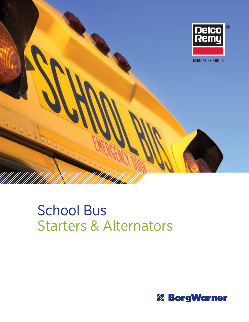

# School Bus Starters & Alternators

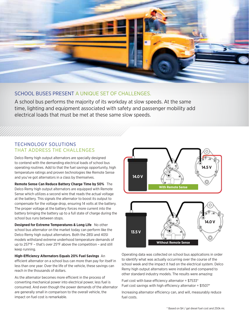

## SCHOOL BUSES PRESENT A UNIQUE SET OF CHALLENGES.

A school bus performs the majority of its workday at slow speeds. At the same time, lighting and equipment associated with safety and passenger mobility add electrical loads that must be met at these same slow speeds.

### TECHNOLOGY SOLUTIONS THAT ADDRESS THE CHALLENGES

Delco Remy high output alternators are specially designed to contend with the demanding electrical loads of school bus operating routines. Add to that the fuel savings opportunity, high temperature ratings and proven technologies like Remote Sense and you've got alternators in a class by themselves.

**Remote Sense Can Reduce Battery Charge Time by 50%** The Delco Remy high output alternators are equipped with Remote Sense which utilizes a second wire that reads the actual voltage at the battery. This signals the alternator to boost its output to compensate for the voltage drop, ensuring 14 volts at the battery. The proper voltage at the battery forces more current into the battery bringing the battery up to a full state of charge during the school bus runs between stops.

**Designed for Extreme Temperatures & Long Life** No other school bus alternator on the market today can perform like the Delco Remy high output alternators. Both the 28SI and 40SI models withstand extreme underhood temperature demands of up to 257°F – that's over 25°F above the competition – and still keep running.

**High-Efficiency Alternators Equals 20% Fuel Savings** An efficient alternator on a school bus can more than pay for itself in less than one year. Over the life of the vehicle, these savings can reach in the thousands of dollars.

As the alternator becomes more efficient in the process of converting mechanical power into electrical power, less fuel is consumed. And even though the power demands of the alternator are generally small in comparison to the overall vehicle, the impact on fuel cost is remarkable.



Operating data was collected on school bus applications in order to identify what was actually occurring over the course of the school week and the impact it had on the electrical system. Delco Remy high output alternators were installed and compared to other standard industry models. The results were amazing:

Fuel cost with base efficiency alternator =  $$7533*$ Fuel cost savings with high efficiency alternator =  $$1507*$ 

Increasing alternator efficiency can, and will, measurably reduce fuel costs.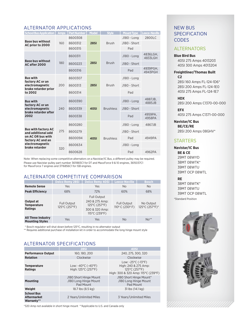## ALTERNATOR APPLICATIONS

| <b>School Bus Application</b>                    | <b>Amps</b> | <b>Part Number</b> | <b>Model</b> | <b>Style</b>     | <b>Mount Type</b> | <b>Leece-Neville</b> |
|--------------------------------------------------|-------------|--------------------|--------------|------------------|-------------------|----------------------|
| <b>Base bus without</b><br>AC prior to 2000      | 160         | 8600308            |              |                  | J180 - Long       | 2800LC               |
|                                                  |             | 8600312            | <b>28SI</b>  | <b>Brush</b>     | J180 - Short      |                      |
|                                                  |             | 8600315            |              |                  | Pad               |                      |
|                                                  |             | 8600311            |              |                  | J180 - Long       | 4836LGH,<br>4833LGH  |
| <b>Base bus without</b><br>AC after 2000         | 180         | 8600223            | <b>28SI</b>  | <b>Brush</b>     | J180 - Short      |                      |
|                                                  |             | 8600316            |              |                  | Pad               | 4939PGH,<br>4943PGH  |
| <b>Bus with</b><br>factory AC or an              | 200         | 8600307            |              | <b>Brush</b>     | J180 - Long       |                      |
| electromagnetic<br>brake retarder prior          |             | 8600313            | <b>28SI</b>  |                  | J180 - Short      |                      |
| to 2002                                          |             | 8600314            |              |                  | Pad               |                      |
| <b>Bus with</b><br>factory AC or an              | 240         | 8600390            | <b>40SI</b>  | <b>Brushless</b> | J180 - Long       | 4887JB,<br>4885JB    |
| electromagnetic                                  |             | 8600339            |              |                  | J180 - Short      |                      |
| brake retarder after<br>2002                     |             | 8600338            |              |                  | Pad               | 4959PA.<br>4958PA    |
|                                                  |             | 8600280            |              | <b>Brushless</b> | J180 - Long       | 4867JB               |
| <b>Bus with factory AC</b><br>and additional add | 275         | 8600279            | <b>40SI</b>  |                  | J180 - Short      |                      |
| on AC OR bus with<br>factory AC and an           |             | 8600094            |              |                  | Pad               | 4949PA               |
| electromagnetic<br>brake retarder                | 320         | 8600634            |              |                  | J180 - Long       |                      |
|                                                  |             | 8600628            |              |                  | Pad               | 4962PA               |

Note: When replacing some competitive alternators on a Navistar/IC Bus, a different pulley may be required. Please use Navistar pulley part number 3611883C1 for DT and MaxxForce 9 & 10 engines, 3615037C1 for MaxxForce 7 engines and 3716856C1 for ISB engines.

## ALTERNATOR COMPETITIVE COMPARISON

|                                                     | <b>Delco Remy 28SI</b>                                   | <b>Delco Remy 40SI</b>                                                                   | Leece-Neville                                            | <b>Bosch</b>                |  |
|-----------------------------------------------------|----------------------------------------------------------|------------------------------------------------------------------------------------------|----------------------------------------------------------|-----------------------------|--|
| <b>Remote Sense</b>                                 | <b>Yes</b>                                               | Yes                                                                                      | <b>No</b>                                                | <b>No</b>                   |  |
| <b>Peak Efficiency</b>                              | 68%                                                      | 72%                                                                                      | 60%                                                      | 68%                         |  |
| Output at<br><b>Temperature</b><br><b>Ratings</b>   | <b>Full Output</b><br>$125^{\circ}$ C (257 $^{\circ}$ F) | <b>Full Output</b><br>240 & 275 Amp:<br>125°C (257°F)<br>300 & 320 Amp:<br>115°C (239°F) | <b>Full Output</b><br>$110^{\circ}$ C (230 $^{\circ}$ F) | No Output<br>125°C (257°F)* |  |
| <b>All Three Industry</b><br><b>Mounting Styles</b> | Yes                                                      | Yes                                                                                      | <b>No</b>                                                | $No**$                      |  |

\* Bosch regulator will shut down before 125°C, resulting in no alternator output

\*\* Requires additional purchase of installation kit in order to accommodate the long hinge mount style

## ALTERNATOR SPECIFICATIONS

|                                                       | <b>28SI</b>                                                    | <b>40SI</b>                                                                                                            |
|-------------------------------------------------------|----------------------------------------------------------------|------------------------------------------------------------------------------------------------------------------------|
| <b>Performance Output</b>                             | 160, 180, 200                                                  | 240, 275, 300, 320                                                                                                     |
| <b>Rotation</b>                                       | Clockwise                                                      | Clockwise                                                                                                              |
| <b>Temperature</b><br><b>Ratings</b>                  | Low: $-40^{\circ}$ C ( $-40^{\circ}$ F)<br>High: 125°C (257°F) | Low: $-25^{\circ}$ C ( $-13^{\circ}$ F)<br>High: 240 & 275 Amp:<br>125°C (257°F)<br>High: 300 & 320 Amp: 115°C (239°F) |
| <b>Mounting</b>                                       | J180 Short Hinge Mount<br>J180 Long Hinge Mount<br>Pad Mount   | J180 Short Hinge Mount*<br>J180 Long Hinge Mount<br>Pad Mount                                                          |
| Weight                                                | 18.7 lbs (8.5 kg)                                              | 31 lbs (14.1 kg)                                                                                                       |
| <b>School Bus</b><br><b>Aftermarket</b><br>Warranty** | 2 Years/Unlimited Miles                                        | 3 Years/Unlimited Miles                                                                                                |

\*320 Amp not available in short hinge mount \*\*Applicable to U.S. and Canada only

## NEW BUS **SPECIFICATION CODES**

#### ALTERNATORS

#### **Blue Bird Bus**

40SI 275 Amps 4013203 40SI 300 Amps 4013204

#### **Freightliner/Thomas Built C2**

28SI 160 Amps FL-124-1D6\* 28SI 200 Amps FL-124-1E0 40SI 275 Amps FL-124-1E7

#### **HDX**

28SI 200 Amps C1370-00-000

**EFX** 40SI 275 Amps C1371-00-000

**Navistar/IC Bus BE/CE/RE**  28SI 200 Amps 08GHV\*

## **STARTERS**

**Navistar/IC Bus BE & CE** 29MT 08WYD 38MT 08WTK\* 39MT 08WTU 39MT OCP 08WTL

**RE**

38MT 08WTK\* 39MT 08WTU 39MT OCP 08WTL

\*Standard Position